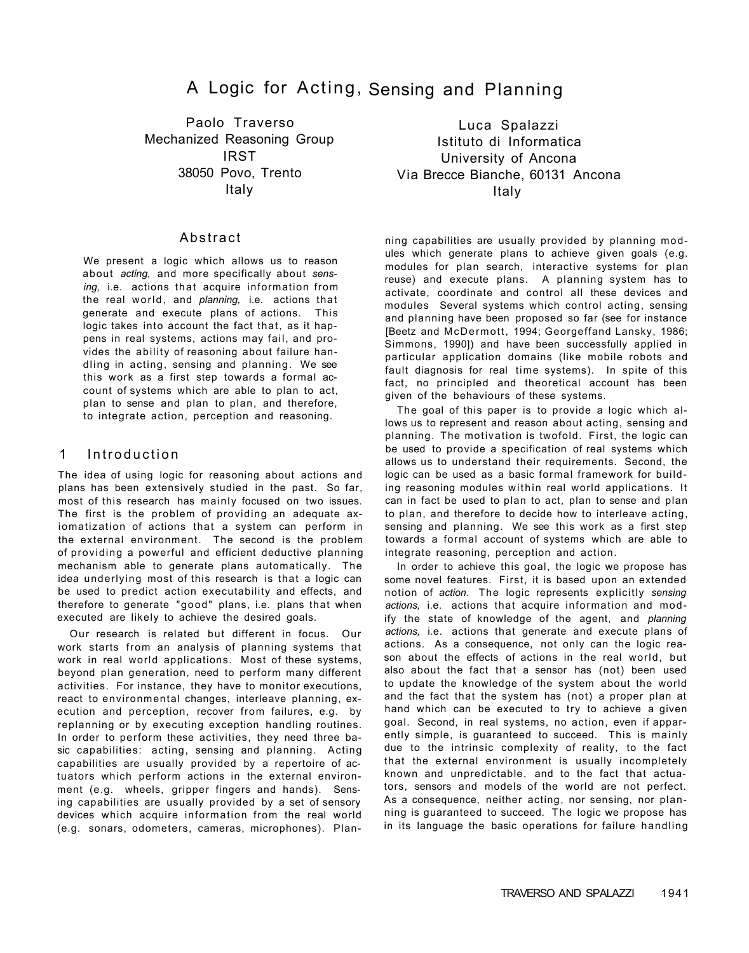# A Logic for Acting, Sensing and Planning

Paolo Traverso Mechanized Reasoning Group IRST 38050 Povo, Trento Italy

### **Abstract**

We present a logic which allows us to reason about *acting,* and more specifically about *sensing,* i.e. actions that acquire information from the real world, and *planning,* i.e. actions that generate and execute plans of actions. This logic takes into account the fact that, as it happens in real systems, actions may fail, and provides the ability of reasoning about failure handling in acting, sensing and planning. We see this work as a first step towards a formal account of systems which are able to plan to act, plan to sense and plan to plan, and therefore, to integrate action, perception and reasoning.

### 1 Introduction

The idea of using logic for reasoning about actions and plans has been extensively studied in the past. So far, most of this research has mainly focused on two issues. The first is the problem of providing an adequate axiomatization of actions that a system can perform in the external environment. The second is the problem of providing a powerful and efficient deductive planning mechanism able to generate plans automatically. The idea underlying most of this research is that a logic can be used to predict action executability and effects, and therefore to generate "good" plans, i.e. plans that when executed are likely to achieve the desired goals.

Our research is related but different in focus. Our work starts from an analysis of planning systems that work in real world applications. Most of these systems, beyond plan generation, need to perform many different activities. For instance, they have to monitor executions, react to environmental changes, interleave planning, execution and perception, recover from failures, e.g. by replanning or by executing exception handling routines. In order to perform these activities, they need three basic capabilities: acting, sensing and planning. Acting capabilities are usually provided by a repertoire of actuators which perform actions in the external environment (e.g. wheels, gripper fingers and hands). Sensing capabilities are usually provided by a set of sensory devices which acquire information from the real world (e.g. sonars, odometers, cameras, microphones). Plan-

Luca Spalazzi Istituto di Informatica University of Ancona Via Brecce Bianche, 60131 Ancona Italy

ning capabilities are usually provided by planning modules which generate plans to achieve given goals (e.g. modules for plan search, interactive systems for plan reuse) and execute plans. A planning system has to activate, coordinate and control all these devices and modules Several systems which control acting, sensing and planning have been proposed so far (see for instance [Beetz and McDermott, 1994; Georgeffand Lansky, 1986; Simmons, 1990]) and have been successfully applied in particular application domains (like mobile robots and fault diagnosis for real time systems). In spite of this fact, no principled and theoretical account has been given of the behaviours of these systems.

The goal of this paper is to provide a logic which allows us to represent and reason about acting, sensing and planning. The motivation is twofold. First, the logic can be used to provide a specification of real systems which allows us to understand their requirements. Second, the logic can be used as a basic formal framework for building reasoning modules within real world applications. It can in fact be used to plan to act, plan to sense and plan to plan, and therefore to decide how to interleave acting, sensing and planning. We see this work as a first step towards a formal account of systems which are able to integrate reasoning, perception and action.

In order to achieve this goal, the logic we propose has some novel features. First, it is based upon an extended notion of *action.* The logic represents explicitly *sensing actions,* i.e. actions that acquire information and modify the state of knowledge of the agent, and *planning actions,* i.e. actions that generate and execute plans of actions. As a consequence, not only can the logic reason about the effects of actions in the real world, but also about the fact that a sensor has (not) been used to update the knowledge of the system about the world and the fact that the system has (not) a proper plan at hand which can be executed to try to achieve a given goal. Second, in real systems, no action, even if apparently simple, is guaranteed to succeed. This is mainly due to the intrinsic complexity of reality, to the fact that the external environment is usually incompletely known and unpredictable, and to the fact that actuators, sensors and models of the world are not perfect. As a consequence, neither acting, nor sensing, nor planning is guaranteed to succeed. The logic we propose has in its language the basic operations for failure handling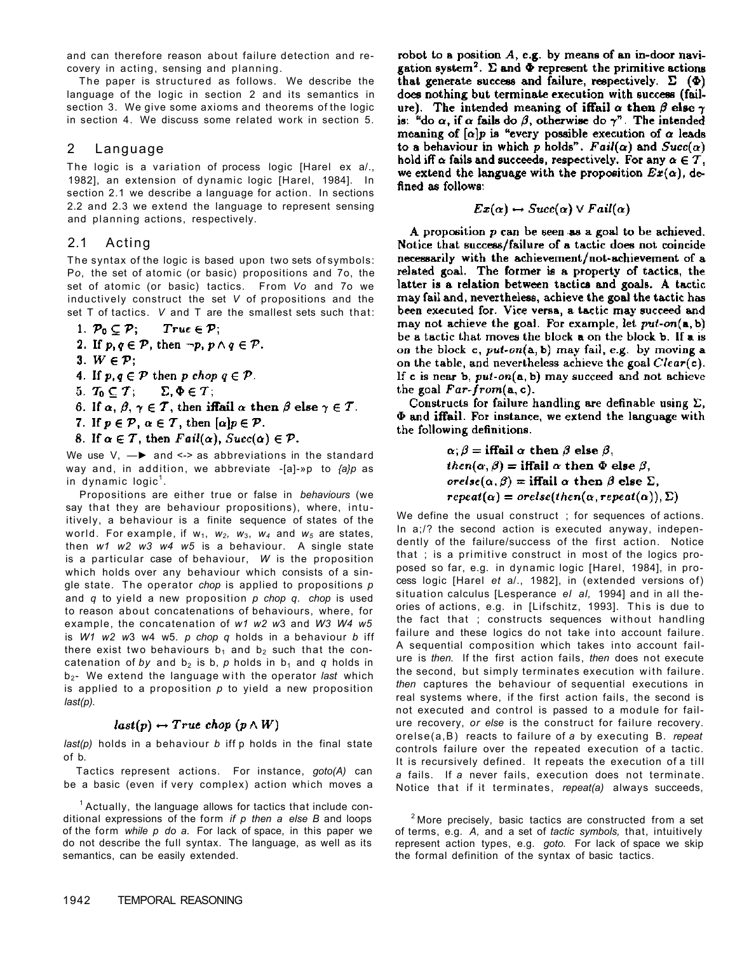and can therefore reason about failure detection and recovery in acting, sensing and planning.

The paper is structured as follows. We describe the language of the logic in section 2 and its semantics in section 3. We give some axioms and theorems of the logic in section 4. We discuss some related work in section 5.

# 2 Language

The logic is a variation of process logic [Harel ex a/., 1982], an extension of dynamic logic [Harel, 1984]. In section 2.1 we describe a language for action. In sections 2.2 and 2.3 we extend the language to represent sensing and planning actions, respectively.

# 2.1 Acting

The syntax of the logic is based upon two sets of symbols: P*o*, the set of atomic (or basic) propositions and 7o, the set of atomic (or basic) tactics. From *Vo* and 7o we inductively construct the set *V* of propositions and the set T of tactics. *V* and T are the smallest sets such that:

1.  $\mathcal{P}_0 \subseteq \mathcal{P}$ ;  $True \in \mathcal{P};$ 

- 2. If  $p, q \in \mathcal{P}$ , then  $\neg p, p \land q \in \mathcal{P}$ .
- 3.  $W \in \mathcal{P}$ ;
- 4. If  $p, q \in \mathcal{P}$  then p chop  $q \in \mathcal{P}$ .
- 5.  $T_0 \subseteq T$ ;  $\Sigma, \Phi \in T$ ;
- 6. If  $\alpha, \beta, \gamma \in \mathcal{T}$ , then iffail  $\alpha$  then  $\beta$  else  $\gamma \in \mathcal{T}$ .
- 7. If  $p \in \mathcal{P}$ ,  $\alpha \in \mathcal{T}$ , then  $[\alpha]p \in \mathcal{P}$ .
- 8. If  $\alpha \in \mathcal{T}$ , then  $Fail(\alpha)$ ,  $Succ(\alpha) \in \mathcal{P}$ .

We use  $V_1 \longrightarrow$  and <-> as abbreviations in the standard way and, in addition, we abbreviate -[a]-»p to *{a}p* as in dynamic logic<sup>1</sup>.

Propositions are either true or false in *behaviours* (we say that they are behaviour propositions), where, intuitively, a behaviour is a finite sequence of states of the world. For example, if  $w_1$ ,  $w_2$ ,  $w_3$ ,  $w_4$  and  $w_5$  are states, then *w1 w2 w3 w4 w5* is a behaviour. A single state is a particular case of behaviour, *W* is the proposition which holds over any behaviour which consists of a single state. The operator *chop* is applied to propositions *p*  and *q* to yield a new proposition *p chop q. chop* is used to reason about concatenations of behaviours, where, for example, the concatenation of *w1 w2 w*3 and *W3 W4 w5*  is *W1 w2 w*3 w4 w5. *p chop q* holds in a behaviour *b* iff there exist two behaviours  $b_1$  and  $b_2$  such that the concatenation of by and  $b_2$  is b, p holds in  $b_1$  and q holds in b<sub>2</sub>- We extend the language with the operator last which is applied to a proposition *p* to yield a new proposition *last(p).* 

# $last(p) \leftarrow True \; chop \; (p \wedge W)$

*last(p)* holds in a behaviour *b* iff p holds in the final state of b.

Tactics represent actions. For instance, *goto(A)* can be a basic (even if very complex) action which moves a

 $1$  Actually, the language allows for tactics that include conditional expressions of the form *if p then a else B* and loops of the form *while p do a.* For lack of space, in this paper we do not describe the full syntax. The language, as well as its semantics, can be easily extended.

robot to a position  $A$ , e.g. by means of an in-door navigation system<sup>2</sup>.  $\Sigma$  and  $\Phi$  represent the primitive actions that generate success and failure, respectively.  $\Sigma$  ( $\Phi$ ) does nothing but terminate execution with success (failure). The intended meaning of iffail  $\alpha$  then  $\beta$  else  $\gamma$ is: "do  $\alpha$ , if  $\alpha$  fails do  $\beta$ , otherwise do  $\gamma$ ". The intended meaning of  $[\alpha]p$  is "every possible execution of  $\alpha$  leads to a behaviour in which p holds". Fail( $\alpha$ ) and  $Succ(\alpha)$ hold iff  $\alpha$  fails and succeeds, respectively. For any  $\alpha \in \mathcal{T}$ , we extend the language with the proposition  $Ex(\alpha)$ , defined as follows:

$$
Ex(\alpha) \leftrightarrow Succ(\alpha) \vee Fail(\alpha)
$$

A proposition  $p$  can be seen as a goal to be achieved. Notice that success/failure of a tactic does not coincide necessarily with the achievement/not-achievement of a related goal. The former is a property of tactics, the latter is a relation between tactics and goals. A tactic may fail and, nevertheless, achieve the goal the tactic has been executed for. Vice versa, a tactic may succeed and may not achieve the goal. For example, let  $put-on(a, b)$ be a tactic that moves the block a on the block b. If a is on the block  $c$ , put-on( $a$ , b) may fail, e.g. by moving a on the table, and nevertheless achieve the goal  $Clear(c)$ . If c is near b,  $put-on(a, b)$  may succeed and not achieve the goal  $Far-form(a, c)$ .

Constructs for failure handling are definable using  $\Sigma$ ,  $\Phi$  and iffail. For instance, we extend the language with the following definitions.

$$
\alpha, \beta = \textbf{iffail } \alpha \text{ then } \beta \text{ else } \beta,
$$
\n $then(\alpha, \beta) = \textbf{iffail } \alpha \text{ then } \Phi \text{ else } \beta,$ \n $orelse(\alpha, \beta) = \textbf{iffail } \alpha \text{ then } \beta \text{ else } \Sigma,$ \n $repeat(\alpha) = orelse(then(\alpha, repeat(\alpha)), \Sigma)$ 

We define the usual construct ; for sequences of actions. In a;/? the second action is executed anyway, independently of the failure/success of the first action. Notice that ; is a primitive construct in most of the logics proposed so far, e.g. in dynamic logic [Harel, 1984], in process logic [Harel *et* a/., 1982], in (extended versions of) situation calculus [Lesperance *el al,* 1994] and in all theories of actions, e.g. in [Lifschitz, 1993]. This is due to the fact that ; constructs sequences without handling failure and these logics do not take into account failure. A sequential composition which takes into account failure is *then.* If the first action fails, *then* does not execute the second, but simply terminates execution with failure. *then* captures the behaviour of sequential executions in real systems where, if the first action fails, the second is not executed and control is passed to a module for failure recovery, *or else* is the construct for failure recovery. orelse(a,B) reacts to failure of *a* by executing B. *repeat*  controls failure over the repeated execution of a tactic. It is recursively defined. It repeats the execution of a till *a* fails. If *a* never fails, execution does not terminate. Notice that if it terminates, *repeat(a)* always succeeds,

 $2$  More precisely, basic tactics are constructed from a set of terms, e.g. *A,* and a set of *tactic symbols,* that, intuitively represent action types, e.g. *goto.* For lack of space we skip the formal definition of the syntax of basic tactics.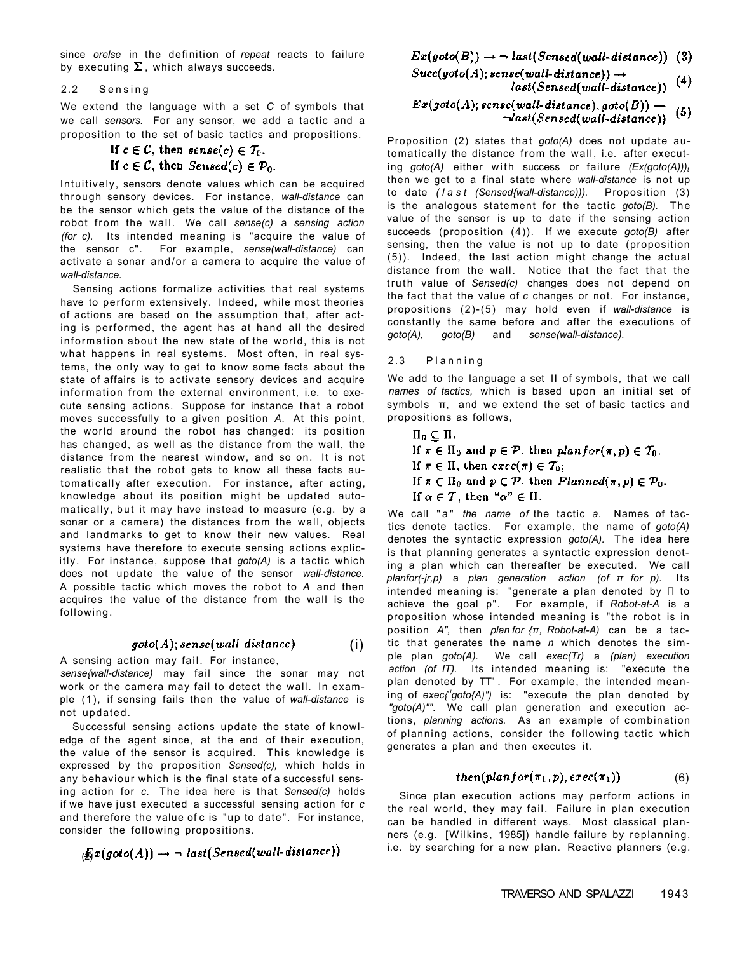since *orelse* in the definition of *repeat* reacts to failure by executing  $\Sigma$ , which always succeeds.

### 2.2 Sensing

We extend the language with a set *C* of symbols that we call *sensors.* For any sensor, we add a tactic and a proposition to the set of basic tactics and propositions.

### If  $c \in \mathcal{C}$ , then  $\text{sense}(c) \in T_0$ . If  $c \in \mathcal{C}$ , then Sensed(c)  $\in \mathcal{P}_0$ .

Intuitively, sensors denote values which can be acquired through sensory devices. For instance, *wall-distance* can be the sensor which gets the value of the distance of the robot from the wall. We call *sense(c)* a *sensing action (for c).* Its intended meaning is "acquire the value of the sensor c". For example, *sense(wall-distance)* can activate a sonar and/or a camera to acquire the value of *wall-distance.* 

Sensing actions formalize activities that real systems have to perform extensively. Indeed, while most theories of actions are based on the assumption that, after acting is performed, the agent has at hand all the desired information about the new state of the world, this is not what happens in real systems. Most often, in real systems, the only way to get to know some facts about the state of affairs is to activate sensory devices and acquire information from the external environment, i.e. to execute sensing actions. Suppose for instance that a robot moves successfully to a given position *A.* At this point, the world around the robot has changed: its position has changed, as well as the distance from the wall, the distance from the nearest window, and so on. It is not realistic that the robot gets to know all these facts automatically after execution. For instance, after acting, knowledge about its position might be updated automatically, but it may have instead to measure (e.g. by a sonar or a camera) the distances from the wall, objects and landmarks to get to know their new values. Real systems have therefore to execute sensing actions explicitly. For instance, suppose that *goto(A)* is a tactic which does not update the value of the sensor *wall-distance.*  A possible tactic which moves the robot to *A* and then acquires the value of the distance from the wall is the following.

#### $\mathfrak{goto}(A)$ ; sense(wall-distance) (i)

A sensing action may fail. For instance,

*sense{wall-distance)* may fail since the sonar may not work or the camera may fail to detect the wall. In example (1), if sensing fails then the value of *wall-distance* is not updated.

Successful sensing actions update the state of knowledge of the agent since, at the end of their execution, the value of the sensor is acquired. This knowledge is expressed by the proposition *Sensed(c),* which holds in any behaviour which is the final state of a successful sensing action for *c.* The idea here is that *Sensed(c)* holds if we have just executed a successful sensing action for c and therefore the value of c is "up to date". For instance, consider the following propositions.

$$
\mathcal{E}_{\mathcal{I}}(goto(A)) \rightarrow \neg \; last(Sensed(wall\text{-}distance))
$$

$$
Ex(goto(B)) \rightarrow \neg \; last(Sensed(wall\text{-}distance)) \; (3)
$$

$$
Succ(goto(A); sense(wall-distance)) \rightarrow
$$
  

$$
last(Sensed(wall-distance))
$$
 (4)

$$
Ex(goto(A); sense(wall-distance); goto(B)) \rightarrow \neg last(Sensed(wall-distance))
$$
 (5)

Proposition (2) states that *goto(A)* does not update automatically the distance from the wall, i.e. after executing goto(A) either with success or failure  $(Ex(goto(A)))_t$ then we get to a final state where *wall-distance* is not up to date *(las t (Sensed{wall-distance))).* Proposition (3) is the analogous statement for the tactic *goto(B).* The value of the sensor is up to date if the sensing action succeeds (proposition (4)). If we execute *goto(B)* after sensing, then the value is not up to date (proposition (5)). Indeed, the last action might change the actual distance from the wall. Notice that the fact that the truth value of *Sensed(c)* changes does not depend on the fact that the value of *c* changes or not. For instance, propositions (2)-(5) may hold even if *wall-distance* is constantly the same before and after the executions of *goto(A), goto(B)* and *sense(wall-distance).* 

### 2.3 Plannin g

We add to the language a set II of symbols, that we call *names of tactics,* which is based upon an initial set of symbols π, and we extend the set of basic tactics and propositions as follows,

$$
\Pi_0 \subsetneq \Pi.
$$
  
If  $\pi \in \Pi_0$  and  $p \in \mathcal{P}$ , then  $planfor(\pi, p) \in \mathcal{T}_0$ .  
If  $\pi \in \Pi$ , then  $exec(\pi) \in \mathcal{T}_0$ ;  
If  $\pi \in \Pi_0$  and  $p \in \mathcal{P}$ , then  $Planned(\pi, p) \in \mathcal{P}_0$ .  
If  $\alpha \in \mathcal{T}$ , then " $\alpha$ "  $\in \Pi$ .

We call "a" *the name of* the tactic *a.* Names of tactics denote tactics. For example, the name of *goto(A)*  denotes the syntactic expression *goto(A).* The idea here is that planning generates a syntactic expression denoting a plan which can thereafter be executed. We call *planfor(-jr,p)* a *plan generation action (of π for p).* Its intended meaning is: "generate a plan denoted by Π to achieve the goal p". For example, if *Robot-at-A* is a proposition whose intended meaning is "the robot is in position *A",* then *plan for {π, Robot-at-A)* can be a tactic that generates the name *n* which denotes the simple plan *goto(A).* We call *exec(Tr)* a *(plan) execution action (of IT).* Its intended meaning is: "execute the plan denoted by TT" . For example, the intended meaning of *exec{<sup>u</sup> goto{A)")* is: "execute the plan denoted by *"goto(A)""*. We call plan generation and execution actions, *planning actions.* As an example of combination of planning actions, consider the following tactic which generates a plan and then executes it.

$$
then(planfor(\pi_1,p), exec(\pi_1)) \qquad \qquad (6)
$$

Since plan execution actions may perform actions in the real world, they may fail. Failure in plan execution can be handled in different ways. Most classical planners (e.g. [Wilkins, 1985]) handle failure by replanning, i.e. by searching for a new plan. Reactive planners (e.g.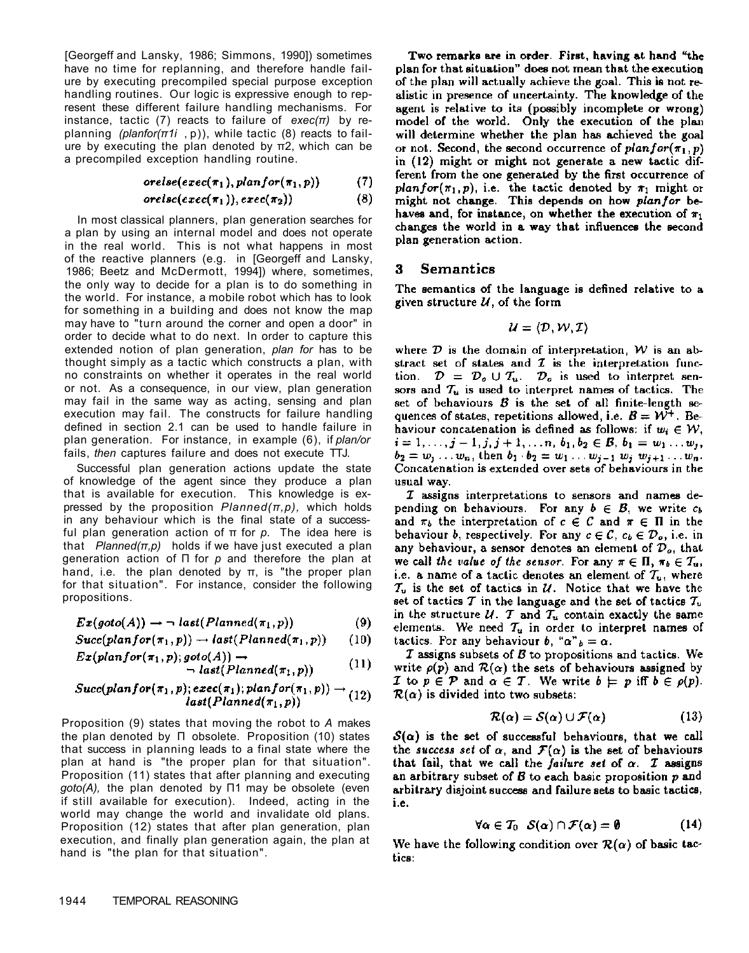[Georgeff and Lansky, 1986; Simmons, 1990]) sometimes have no time for replanning, and therefore handle failure by executing precompiled special purpose exception handling routines. Our logic is expressive enough to represent these different failure handling mechanisms. For instance, tactic (7) reacts to failure of  $exec(\pi)$  by replanning (planfor( $\pi$ 1*i*, p)), while tactic (8) reacts to failure by executing the plan denoted by  $\pi$ 2, which can be a precompiled exception handling routine.

$$
orelse(exec(\pi_1), planfor(\pi_1,p)) \qquad (7)
$$

$$
orelse(exec(\pi_1)), exec(\pi_2)) \qquad \qquad (8)
$$

In most classical planners, plan generation searches for a plan by using an internal model and does not operate in the real world. This is not what happens in most of the reactive planners (e.g. in [Georgeff and Lansky, 1986; Beetz and McDermott, 1994]) where, sometimes, the only way to decide for a plan is to do something in the world. For instance, a mobile robot which has to look for something in a building and does not know the map may have to "turn around the corner and open a door" in order to decide what to do next. In order to capture this extended notion of plan generation, plan for has to be thought simply as a tactic which constructs a plan, with no constraints on whether it operates in the real world or not. As a consequence, in our view, plan generation may fail in the same way as acting, sensing and plan execution may fail. The constructs for failure handling defined in section 2.1 can be used to handle failure in plan generation. For instance, in example (6), if plan/or fails, then captures failure and does not execute TTJ.

Successful plan generation actions update the state of knowledge of the agent since they produce a plan that is available for execution. This knowledge is expressed by the proposition  $Planned(\pi, p)$ , which holds in any behaviour which is the final state of a successful plan generation action of  $\pi$  for p. The idea here is that  $Planned(\pi, p)$  holds if we have just executed a plan generation action of  $\Pi$  for  $p$  and therefore the plan at hand, i.e. the plan denoted by  $\pi$ , is "the proper plan for that situation". For instance, consider the following propositions.

$$
Ex(goto(A)) \rightarrow \neg \; last(Planned(\pi_1, p)) \tag{9}
$$

$$
Succ(planfor(\pi_1,p)) \rightarrow last(Planned(\pi_1,p)) \qquad (10)
$$

$$
Ex(planfor(\pi_1, p); goto(A)) \rightarrow \text{last}(Planned(\pi_1, p))
$$
 (11)

$$
Succ(planfor(\pi_1, p); exec(\pi_1); planfor(\pi_1, p)) \rightarrow (12)
$$
  

$$
last(Planned(\pi_1, p))
$$

Proposition (9) states that moving the robot to A makes the plan denoted by  $\Pi$  obsolete. Proposition (10) states that success in planning leads to a final state where the plan at hand is "the proper plan for that situation". Proposition (11) states that after planning and executing  $goto(A)$ , the plan denoted by  $\Pi1$  may be obsolete (even if still available for execution). Indeed, acting in the world may change the world and invalidate old plans. Proposition (12) states that after plan generation, plan execution, and finally plan generation again, the plan at hand is "the plan for that situation".

Two remarks are in order. First, having at hand "the plan for that situation" does not mean that the execution of the plan will actually achieve the goal. This is not realistic in presence of uncertainty. The knowledge of the agent is relative to its (possibly incomplete or wrong) model of the world. Only the execution of the plan will determine whether the plan has achieved the goal or not. Second, the second occurrence of  $planfor(\pi_1, p)$ in (12) might or might not generate a new tactic different from the one generated by the first occurrence of plan for  $(\pi_1, p)$ , i.e. the tactic denoted by  $\pi_1$  might or might not change. This depends on how planfor behaves and, for instance, on whether the execution of  $\pi_1$ changes the world in a way that influences the second plan generation action.

#### **Semantics** 3

The semantics of the language is defined relative to a given structure  $U$ , of the form

$$
\mathcal{U} = \langle \mathcal{D}, \mathcal{W}, \mathcal{I} \rangle
$$

where  $D$  is the domain of interpretation,  $W$  is an abstract set of states and  $I$  is the interpretation function.  $\mathcal{D} = \mathcal{D}_o \cup \mathcal{T}_u$ .  $\mathcal{D}_o$  is used to interpret sensors and  $T_u$  is used to interpret names of tactics. The set of behaviours  $B$  is the set of all finite-length sequences of states, repetitions allowed, i.e.  $B = W^+$ . Behaviour concatenation is defined as follows: if  $w_i \in \mathcal{W}$ .  $i = 1, \ldots, j - 1, j, j + 1, \ldots n, b_1, b_2 \in \mathcal{B}, b_1 = w_1 \ldots w_j,$  $b_2 = w_1 \ldots w_n$ , then  $b_1 \cdot b_2 = w_1 \ldots w_{j-1} w_j w_{j+1} \ldots w_n$ . Concatenation is extended over sets of behaviours in the usual way.

 $I$  assigns interpretations to sensors and names depending on behaviours. For any  $b \in B$ , we write  $c<sub>b</sub>$ and  $\pi_b$  the interpretation of  $c \in \mathcal{C}$  and  $\pi \in \Pi$  in the behaviour b, respectively. For any  $c \in \mathcal{C}$ ,  $c_b \in \mathcal{D}_o$ , i.e. in any behaviour, a sensor denotes an element of  $\mathcal{D}_{o}$ , that we call the value of the sensor. For any  $\pi \in \Pi$ ,  $\pi_b \in T_u$ , i.e. a name of a tactic denotes an element of  $T_u$ , where  $T_u$  is the set of tactics in  $U$ . Notice that we have the set of tactics T in the language and the set of tactics  $T_u$ in the structure  $U$ . T and  $T_u$  contain exactly the same elements. We need  $T_u$  in order to interpret names of tactics. For any behaviour b, " $\alpha$ "  $_b = \alpha$ .

 $I$  assigns subsets of  $B$  to propositions and tactics. We write  $\rho(p)$  and  $\mathcal{R}(\alpha)$  the sets of behaviours assigned by I to  $p \in \mathcal{P}$  and  $\alpha \in \mathcal{T}$ . We write  $b \models p$  iff  $b \in \rho(p)$ .  $\mathcal{R}(\alpha)$  is divided into two subsets:

$$
\mathcal{R}(\alpha) = \mathcal{S}(\alpha) \cup \mathcal{F}(\alpha) \tag{13}
$$

 $S(\alpha)$  is the set of successful behaviours, that we call the success set of  $\alpha$ , and  $\mathcal{F}(\alpha)$  is the set of behaviours that fail, that we call the failure set of  $\alpha$ . *T* assigns an arbitrary subset of  $B$  to each basic proposition  $p$  and arbitrary disjoint success and failure sets to basic tactics, i.e.

$$
\forall \alpha \in \mathcal{T}_0 \quad \mathcal{S}(\alpha) \cap \mathcal{F}(\alpha) = \emptyset \tag{14}
$$

We have the following condition over  $\mathcal{R}(\alpha)$  of basic tactics: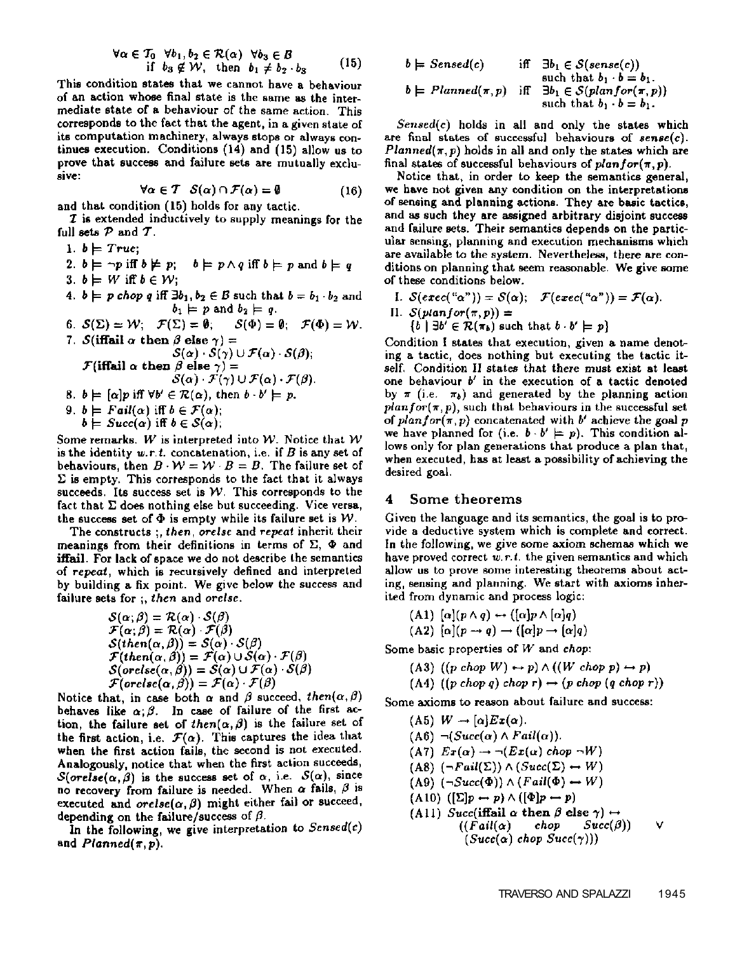$$
\forall \alpha \in \mathcal{T}_0 \quad \forall b_1, b_2 \in \mathcal{R}(\alpha) \quad \forall b_3 \in \mathcal{B}
$$
  
if  $b_3 \notin \mathcal{W}$ , then  $b_1 \neq b_2 \cdot b_3$  (15)

This condition states that we cannot have a behaviour of an action whose final state is the same as the intermediate state of a behaviour of the same action. This corresponds to the fact that the agent, in a given state of its computation machinery, always stops or always continues execution. Conditions (14) and (15) allow us to prove that success and failure sets are mutually exclusive:

$$
\forall \alpha \in \mathcal{T} \quad \mathcal{S}(\alpha) \cap \mathcal{F}(\alpha) = \emptyset \tag{16}
$$

and that condition (15) holds for any tactic.

**Z** is extended inductively to supply meanings for the full sets  $P$  and  $T$ .

1.  $b \models True$ ;

2.  $b \models \neg p$  iff  $b \not\models p$ ;  $b \models p \land q$  iff  $b \models p$  and  $b \models q$ 3.  $b \models W$  iff  $b \in W$ ;

- 4.  $b \models p \text{ chop } q \text{ iff } \exists b_1, b_2 \in B \text{ such that } b = b_1 \cdot b_2 \text{ and }$  $b_1 \models p$  and  $b_2 \models q$ .
- 6.  $\mathcal{S}(\Sigma) = \mathcal{W}$ ;  $\mathcal{F}(\Sigma) = \emptyset$ ;  $\mathcal{S}(\Phi) = \emptyset$ ;  $\mathcal{F}(\Phi) = \mathcal{W}$ . 7. S(iffail  $\alpha$  then  $\beta$  else  $\gamma$ ) =<br> $S(\alpha)$ .  $S(\alpha)$   $\mathcal{F}(\alpha)$ .  $S(\beta)$ :

$$
\mathcal{F}(\text{iffail }\alpha \text{ then } \beta \text{ else } \gamma) =
$$
  

$$
\mathcal{S}(\alpha) \cdot \mathcal{F}(\gamma) \cup \mathcal{F}(\alpha) \cdot \mathcal{F}(\beta)
$$

- 8.  $b \models [\alpha] p$  iff  $\forall b' \in \mathcal{R}(\alpha)$ , then  $b \cdot b' \models p$ .
- 9.  $b \models \text{Tail}(\alpha)$  iff  $b \in \mathcal{F}(\alpha)$ ;  $b \models Succ(\alpha)$  iff  $b \in S(\alpha)$ ;

Some remarks. W is interpreted into W. Notice that  $W$ is the identity w.r.t. concatenation, i.e. if  $B$  is any set of behaviours, then  $B \cdot W = W \cdot B = B$ . The failure set of  $\Sigma$  is empty. This corresponds to the fact that it always succeeds. Its success set is  $W$ . This corresponds to the fact that  $\Sigma$  does nothing else but succeeding. Vice versa, the success set of  $\Phi$  is empty while its failure set is W.

The constructs; then, orelse and repeat inherit their meanings from their definitions in terms of  $\Sigma$ ,  $\Phi$  and **iffail**. For lack of space we do not describe the semantics of repeat, which is recursively defined and interpreted by building a fix point. We give below the success and failure sets for ;, then and orelse.

$$
\begin{array}{l} S(\alpha;\beta)=\mathcal{R}(\alpha)\cdot\mathcal{S}(\beta)\\ \mathcal{F}(\alpha;\beta)=\mathcal{R}(\alpha)\cdot\mathcal{F}(\beta)\\ S(then(\alpha,\beta))=\mathcal{S}(\alpha)\cdot\mathcal{S}(\beta)\\ \mathcal{F}(then(\alpha,\beta))=\mathcal{F}(\alpha)\cup\mathcal{S}(\alpha)\cdot\mathcal{F}(\beta)\\ S(orelse(\alpha,\beta))=\mathcal{S}(\alpha)\cup\mathcal{F}(\alpha)\cdot\mathcal{S}(\beta)\\ \mathcal{F}(orelse(\alpha,\beta))=\mathcal{F}(\alpha)\cdot\mathcal{F}(\beta) \end{array}
$$

Notice that, in case both  $\alpha$  and  $\beta$  succeed, then( $\alpha$ ,  $\beta$ ) behaves like  $\alpha, \beta$ . In case of failure of the first action, the failure set of then( $\alpha$ ,  $\beta$ ) is the failure set of the first action, i.e.  $\mathcal{F}(\alpha)$ . This captures the idea that when the first action fails, the second is not executed. Analogously, notice that when the first action succeeds,  $\mathcal{S}(orelse(\alpha, \beta))$  is the success set of  $\alpha$ , i.e.  $\mathcal{S}(\alpha)$ , since no recovery from failure is needed. When  $\alpha$  fails,  $\beta$  is executed and  $orelse(\alpha, \beta)$  might either fail or succeed, depending on the failure/success of  $\beta$ .

In the following, we give interpretation to  $Sensed(c)$ and  $Planned(\pi, p)$ .

$$
b \models \text{Sensed}(c) \quad \text{iff} \quad \exists b_1 \in S(\text{sense}(c)) \\ \text{such that } b_1 \cdot b = b_1. \\ b \models \text{Planned}(\pi, p) \quad \text{iff} \quad \exists b_1 \in S(\text{planfor}(\pi, p)) \\ \text{such that } b_1 \cdot b = b_1. \quad \text{if} \quad \exists b_2 \in S(\text{planfor}(\pi, p))
$$

 $Sensed(c)$  holds in all and only the states which are final states of successful behaviours of  $\mathit{sense}(c)$ .  $Planned(\pi, p)$  holds in all and only the states which are final states of successful behaviours of  $planfor(\pi, p)$ .

Notice that, in order to keep the semantics general, we have not given any condition on the interpretations of sensing and planning actions. They are basic tactics, and as such they are assigned arbitrary disjoint success and failure sets. Their semantics depends on the particular sensing, planning and execution mechanisms which are available to the system. Nevertheless, there are conditions on planning that seem reasonable. We give some of these conditions below.

I. 
$$
S(exec(" $\alpha$ ")) = S( $\alpha$ );  $\mathcal{F}(exec(" $\alpha$ ")) = \mathcal{F}(\alpha)$ .  
II.  $S(planfor(\pi, p)) =$   
{ $b \mid \exists b' \in \mathcal{R}(\pi_b)$  such that  $b \cdot b' \models p$ }
$$

Condition I states that execution, given a name denoting a tactic, does nothing but executing the tactic itself. Condition II states that there must exist at least one behaviour  $b'$  in the execution of a tactic denoted by  $\pi$  (i.e.  $\pi_b$ ) and generated by the planning action  $planfor(\pi, p)$ , such that behaviours in the successful set of  $planfor(\pi, p)$  concatenated with  $b'$  achieve the goal  $p$ we have planned for (i.e.  $b \cdot b' \models p$ ). This condition allows only for plan generations that produce a plan that, when executed, has at least a possibility of achieving the desired goal.

#### Some theorems 4

Given the language and its semantics, the goal is to provide a deductive system which is complete and correct. In the following, we give some axiom schemas which we have proved correct  $w.r.t.$  the given semantics and which allow us to prove some interesting theorems about acting, sensing and planning. We start with axioms inherited from dynamic and process logic:

$$
(A1) [\alpha](p \wedge q) \leftrightarrow ([\alpha]p \wedge [\alpha]q)
$$

(A2)  $[\alpha](p \rightarrow q) \rightarrow ([\alpha]p \rightarrow [\alpha]q)$ 

Some basic properties of  $W$  and chop:

- (A3)  $((p \text{ chop } W) \leftrightarrow p) \land ((W \text{ chop } p) \leftrightarrow p)$
- (A4)  $((p \text{ chop } q) \text{ chop } r) \leftrightarrow (p \text{ chop } (q \text{ chop } r))$

Some axioms to reason about failure and success:

(A5)  $W \rightarrow [\alpha] E x(\alpha)$ .  $(A6) \neg (Succ(\alpha) \land Fail(\alpha)).$  $(A7)$   $Ex(\alpha) \rightarrow \neg (Ex(\alpha)$  chop  $\neg W)$ (A8)  $(\neg \text{Tail}(\Sigma)) \land (\text{Succ}(\Sigma) \leftrightarrow W)$ (A9)  $(\neg Succ(\Phi)) \land (Fall(\Phi) \leftrightarrow W)$  $(A10)$   $([\Sigma]p \leftrightarrow p) \wedge ([\Phi]p \leftrightarrow p)$ (A11) Succ(iffail  $\alpha$  then  $\beta$  else  $\gamma$ )  $\leftrightarrow$  $((Fall(\alpha)$  chop  $Succ(\beta))$ ٧  $(Succ(\alpha)$  chop  $Succ(\gamma))$ )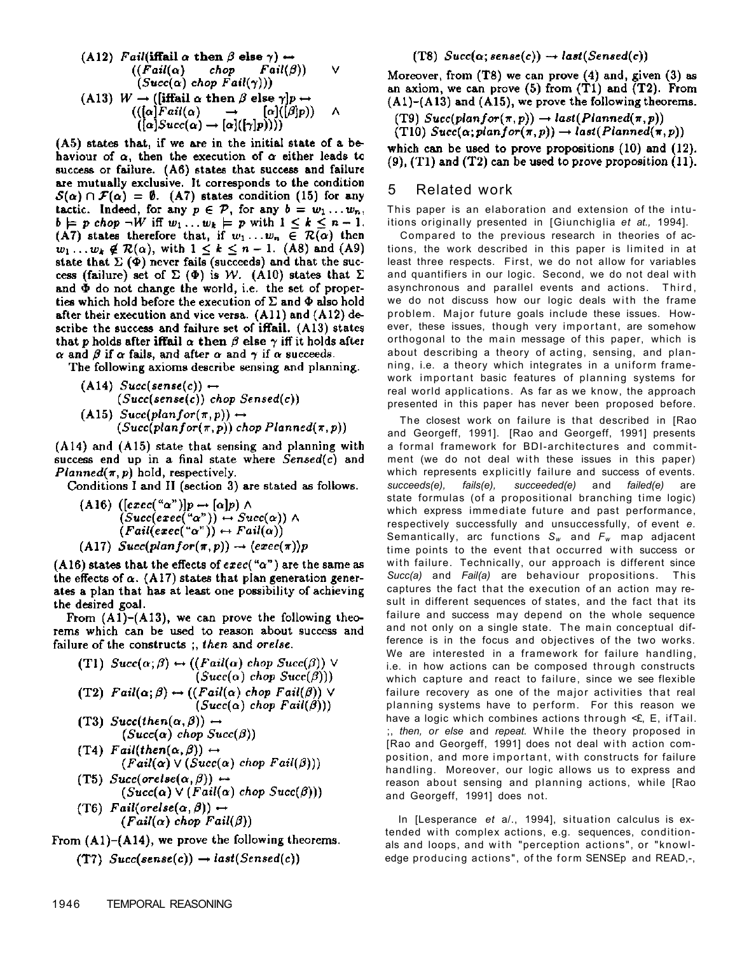(A12) 
$$
Fail(\text{iffail } \alpha \text{ then } \beta \text{ else } \gamma) \rightarrow
$$
  
\n $((Fail(\alpha) \quad chop \quad Fail(\beta)) \quad \lor$   
\n $(Succ(\alpha) \text{ chop } Fail(\gamma)))$   
\n(A13)  $W \rightarrow (\text{[iffail } \alpha \text{ then } \beta \text{ else } \gamma]p \rightarrow$   
\n $(([\alpha] Fail(\alpha) \rightarrow [\alpha]([\beta]p))) \quad \land$   
\n $(([\alpha] Succ(\alpha) \rightarrow [\alpha]([\gamma]p))))$ 

(A5) states that, if we are in the initial state of a behaviour of  $\alpha$ , then the execution of  $\alpha$  either leads to success or failure. (A6) states that success and failure are mutually exclusive. It corresponds to the condition  $\mathcal{S}(\alpha) \cap \mathcal{F}(\alpha) = \emptyset$ . (A7) states condition (15) for any tactic. Indeed, for any  $p \in \mathcal{P}$ , for any  $b = w_1 \dots w_n$ ,  $b \models p \text{ chop } \neg W \text{ iff } w_1 \dots w_k \models p \text{ with } 1 \leq k \leq n-1.$ (A7) states therefore that, if  $w_1 \ldots w_n \in \mathcal{R}(\alpha)$  then  $w_1 \dots w_k \notin \mathcal{R}(\alpha)$ , with  $1 \leq k \leq n-1$ . (A8) and (A9) state that  $\Sigma(\Phi)$  never fails (succeeds) and that the success (failure) set of  $\Sigma$  ( $\Phi$ ) is W. (A10) states that  $\Sigma$ and  $\Phi$  do not change the world, i.e. the set of properties which hold before the execution of  $\Sigma$  and  $\Phi$  also hold after their execution and vice versa.  $(A11)$  and  $(A12)$  describe the success and failure set of iffail. (A13) states that p holds after iffail  $\alpha$  then  $\beta$  else  $\gamma$  iff it holds after  $\alpha$  and  $\beta$  if  $\alpha$  fails, and after  $\alpha$  and  $\gamma$  if  $\alpha$  succeeds.

The following axioms describe sensing and planning.

\n- (A14) 
$$
Succ(sense(c)) \leftrightarrow
$$
  
\n (Succ(sense(c)) chop Sensed(c))
\n- (A15)  $Succ(planfor(\pi, p)) \leftrightarrow$   
\n (Succ(planfor(\pi, p)) chop Planned(\pi, p))
\n

 $(A14)$  and  $(A15)$  state that sensing and planning with success end up in a final state where  $Sensed(c)$  and  $Planned(\pi, p)$  hold, respectively.

Conditions I and II (section 3) are stated as follows.

(A16) 
$$
([exec("α")]p \leftrightarrow [\alpha]p) \land
$$
  
\n $(Succ(exec("α")) \leftrightarrow Succ(\alpha)) \land$   
\n $(Fail(exec("α")) \leftrightarrow Fail(\alpha))$   
\n(A17)  $Succ(planfor(\pi, p)) \rightarrow (exec(\pi))p$ 

(A16) states that the effects of  $exec("α")$  are the same as the effects of  $\alpha$ . (A17) states that plan generation generates a plan that has at least one possibility of achieving the desired goal.

From  $(A1)$ – $(A13)$ , we can prove the following theorems which can be used to reason about success and failure of the constructs; then and orelse.

\n- (T1) 
$$
Succ(\alpha;\beta) \leftrightarrow ((Fail(\alpha) \text{ chop } Succ(\beta)) \vee (Succ(\alpha) \text{ chop } Succ(\beta)))
$$
\n- (T2)  $Fall(\alpha;\beta) \leftrightarrow ((Fail(\alpha) \text{ chop } Fair(\beta)) \vee (Succ(\alpha) \text{ chop } Tail(\beta)))$
\n- (T3)  $Succ(then(\alpha,\beta)) \leftrightarrow (Succ(\alpha) \text{ chop } Succ(\beta))$
\n- (T4)  $Fall(then(\alpha,\beta)) \leftrightarrow (Fail(\alpha) \vee (Succ(\alpha) \text{ chop } Tail(\beta)))$
\n- (T5)  $Succ(orelse(\alpha,\beta)) \leftrightarrow (Succ(\alpha) \vee (Fail(\alpha) \text{ chop } Succ(\beta)))$
\n- (T6)  $Fall(orelse(\alpha,\beta)) \leftrightarrow (Fail(\alpha) \text{ chop } Tail(\beta))$
\n

From  $(A1)$ – $(A14)$ , we prove the following theorems.

(T7) 
$$
Succ(sense(c)) \rightarrow last(Sensed(c))
$$

### (T8)  $Succ(\alpha; sense(c)) \rightarrow last(Sensed(c))$

Moreover, from  $(T8)$  we can prove  $(4)$  and, given  $(3)$  as an axiom, we can prove  $(5)$  from  $(T1)$  and  $(T2)$ . From  $(A1)$ – $(A13)$  and  $(A15)$ , we prove the following theorems.

(T9)  $Succ(planfor(\pi, p)) \rightarrow last(Planned(\pi, p))$ 

(T10)  $Succ(\alpha; planfor(\pi, p)) \rightarrow last(Planned(\pi, p))$ which can be used to prove propositions  $(10)$  and  $(12)$ .

 $(9)$ ,  $(T1)$  and  $(T2)$  can be used to prove proposition  $(11)$ .

### 5 Related work

This paper is an elaboration and extension of the intuitions originally presented in [Giunchiglia *et at.,* 1994].

Compared to the previous research in theories of actions, the work described in this paper is limited in at least three respects. First, we do not allow for variables and quantifiers in our logic. Second, we do not deal with asynchronous and parallel events and actions. Third, we do not discuss how our logic deals with the frame problem. Major future goals include these issues. However, these issues, though very important, are somehow orthogonal to the main message of this paper, which is about describing a theory of acting, sensing, and planning, i.e. a theory which integrates in a uniform framework important basic features of planning systems for real world applications. As far as we know, the approach presented in this paper has never been proposed before.

The closest work on failure is that described in [Rao and Georgeff, 1991]. [Rao and Georgeff, 1991] presents a formal framework for BDI-architectures and commitment (we do not deal with these issues in this paper) which represents explicitly failure and success of events. *succeeds(e), fails(e), succeeded(e)* and *failed(e)* are state formulas (of a propositional branching time logic) which express immediate future and past performance, respectively successfully and unsuccessfully, of event *e.*  Semantically, arc functions *Sw* and *Fw* map adjacent time points to the event that occurred with success or with failure. Technically, our approach is different since *Succ(a)* and *Fail(a)* are behaviour propositions. This captures the fact that the execution of an action may result in different sequences of states, and the fact that its failure and success may depend on the whole sequence and not only on a single state. The main conceptual difference is in the focus and objectives of the two works. We are interested in a framework for failure handling, i.e. in how actions can be composed through constructs which capture and react to failure, since we see flexible failure recovery as one of the major activities that real planning systems have to perform. For this reason we have a logic which combines actions through <£, E, ifTail. ;, *then, or else* and *repeat.* While the theory proposed in [Rao and Georgeff, 1991] does not deal with action composition, and more important, with constructs for failure handling. Moreover, our logic allows us to express and reason about sensing and planning actions, while [Rao and Georgeff, 1991] does not.

In [Lesperance *et* a/., 1994], situation calculus is extended with complex actions, e.g. sequences, conditionals and loops, and with "perception actions", or "knowledge producing actions", of the form SENSEp and READ,-,